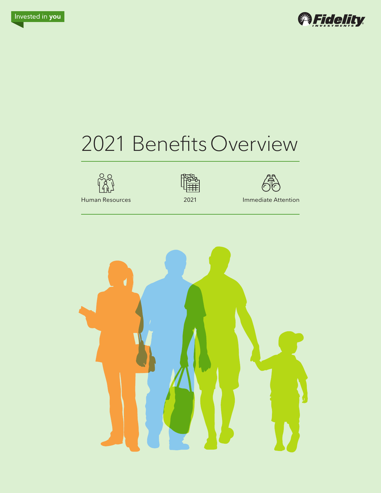



# 2021 BenefitsOverview







Human Resources 2021 Immediate Attention

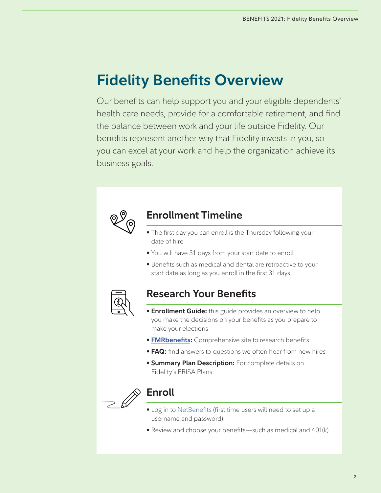# **Fidelity Benefits Overview**

Our benefits can help support you and your eligible dependents' health care needs, provide for a comfortable retirement, and find the balance between work and your life outside Fidelity. Our benefits represent another way that Fidelity invests in you, so you can excel at your work and help the organization achieve its business goals.



## **Enrollment Timeline**

- The first day you can enroll is the Thursday following your date of hire
- You will have 31 days from your start date to enroll
- Benefits such as medical and dental are retroactive to your start date as long as you enroll in the first 31 days



# **Research Your Benefits**

- **Enrollment Guide:** this guide provides an overview to help you make the decisions on your benefits as you prepare to make your elections
- **[FMRbenefits:](http://www.fmrbenefits.com)** Comprehensive site to research benefits
- **FAQ:** find answers to questions we often hear from new hires
- **Summary Plan Description:** For complete details on Fidelity's ERISA Plans.



# **Enroll**

- Log in to [NetBenefits](http://www.netbenefits.com/fidelity) (first time users will need to set up a username and password)
- Review and choose your benefits—such as medical and 401(k)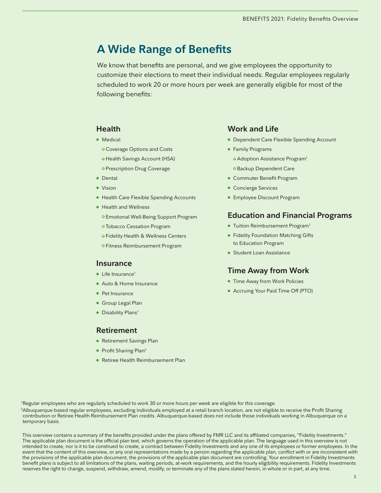# **A Wide Range of Benefits**

We know that benefits are personal, and we give employees the opportunity to customize their elections to meet their individual needs. Regular employees regularly scheduled to work 20 or more hours per week are generally eligible for most of the following benefits:

## **[Health](#page-3-0)**

- [Medical](#page-3-0)
	- [Coverage Options and Costs](#page-4-0)
	- [Health Savings Account \(HSA\)](#page-6-0)
	- [Prescription Drug Coverage](#page-6-0)
- [Dental](#page-7-0)
- [Vision](#page-8-0)
- [Health Care Flexible Spending Accounts](#page-9-0)
- [Health and Wellness](#page-10-0)
	- [Emotional Well-Being Support Program](#page-10-0)
	- [Tobacco Cessation Program](#page-10-0)
	- [Fidelity Health & Wellness Centers](#page-10-0)
	- [Fitness Reimbursement Program](#page-10-0)

### **[Insurance](#page-11-0)**

- $\bullet$  Life Insurance<sup>1</sup>
- [Auto & Home Insurance](#page-12-0)
- [Pet Insurance](#page-12-0)
- [Group Legal Plan](#page-12-0)
- Disability Plans<sup>1</sup>

### **[Retirement](#page-14-0)**

- [Retirement Savings Plan](#page-14-0)
- Profit Sharing Plan<sup>2</sup>
- [Retiree Health Reimbursement Plan](#page-16-0)

### **[Work and Life](#page-17-0)**

- [Dependent Care Flexible Spending Account](#page-17-0)
- [Family Programs](#page-17-0) [• Adoption Assistance Program1](#page-17-0)
	- [Backup Dependent Care](#page-17-0)
- [Commuter Benefit Program](#page-18-0)
- [Concierge Services](#page-18-0)
- [Employee Discount Program](#page-18-0)

## **[Education and Financial Programs](#page-19-0)**

- Tuition Reimbursement Program<sup>1</sup>
- [Fidelity Foundation Matching Gifts](#page-19-0)  [to Education Program](#page-19-0)
- [Student Loan Assistance](#page-19-0)

### **[Time Away from Work](#page-20-0)**

- [Time Away from Work Policies](#page-20-0)
- [Accruing Your Paid Time Off \(PTO\)](#page-20-0)

1 Regular employees who are regularly scheduled to work 30 or more hours per week are eligible for this coverage.

2 Albuquerque-based regular employees, excluding individuals employed at a retail branch location, are not eligible to receive the Profit Sharing contribution or Retiree Health Reimbursement Plan credits. Albuquerque-based does not include those individuals working in Albuquerque on a temporary basis.

This overview contains a summary of the benefits provided under the plans offered by FMR LLC and its affiliated companies, "Fidelity Investments." The applicable plan document is the official plan text, which governs the operation of the applicable plan. The language used in this overview is not intended to create, nor is it to be construed to create, a contract between Fidelity Investments and any one of its employees or former employees. In the event that the content of this overview, or any oral representations made by a person regarding the applicable plan, conflict with or are inconsistent with the provisions of the applicable plan document, the provisions of the applicable plan document are controlling. Your enrollment in Fidelity Investments benefit plans is subject to all limitations of the plans, waiting periods, at-work requirements, and the hourly eligibility requirements. Fidelity Investments reserves the right to change, suspend, withdraw, amend, modify, or terminate any of the plans stated herein, in whole or in part, at any time.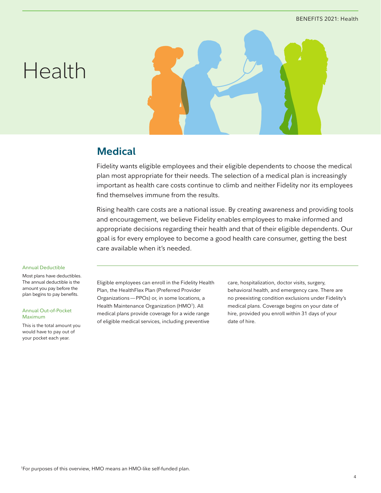# <span id="page-3-0"></span>Health



## **Medical**

Fidelity wants eligible employees and their eligible dependents to choose the medical plan most appropriate for their needs. The selection of a medical plan is increasingly important as health care costs continue to climb and neither Fidelity nor its employees find themselves immune from the results.

Rising health care costs are a national issue. By creating awareness and providing tools and encouragement, we believe Fidelity enables employees to make informed and appropriate decisions regarding their health and that of their eligible dependents. Our goal is for every employee to become a good health care consumer, getting the best care available when it's needed.

#### Annual Deductible

Most plans have deductibles. The annual deductible is the amount you pay before the plan begins to pay benefits.

#### Annual Out-of-Pocket Maximum

This is the total amount you would have to pay out of your pocket each year.

Eligible employees can enroll in the Fidelity Health Plan, the HealthFlex Plan (Preferred Provider Organizations—PPOs) or, in some locations, a Health Maintenance Organization (HMO<sup>1</sup>). All medical plans provide coverage for a wide range of eligible medical services, including preventive

care, hospitalization, doctor visits, surgery, behavioral health, and emergency care. There are no preexisting condition exclusions under Fidelity's medical plans. Coverage begins on your date of hire, provided you enroll within 31 days of your date of hire.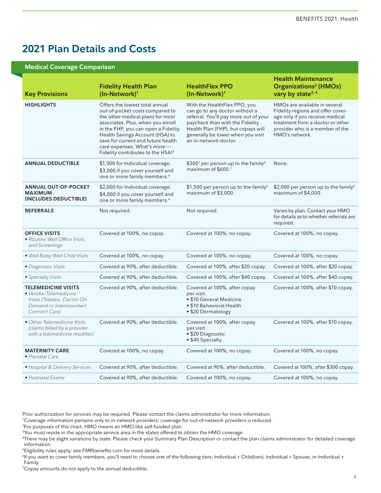# <span id="page-4-0"></span>**2021 Plan Details and Costs**

#### **Medical Coverage Comparison**

| <b>Key Provisions</b>                                                                                                         | <b>Fidelity Health Plan</b><br>(In-Network) <sup>1</sup>                                                                                                                                                                                                                                                                                   | <b>HealthFlex PPO</b><br>(In-Network) <sup>1</sup>                                                                                                                                                                                             | <b>Health Maintenance</b><br><b>Organizations<sup>2</sup></b> (HMOs)<br>vary by state <sup>3, 4</sup>                                                                                          |
|-------------------------------------------------------------------------------------------------------------------------------|--------------------------------------------------------------------------------------------------------------------------------------------------------------------------------------------------------------------------------------------------------------------------------------------------------------------------------------------|------------------------------------------------------------------------------------------------------------------------------------------------------------------------------------------------------------------------------------------------|------------------------------------------------------------------------------------------------------------------------------------------------------------------------------------------------|
| <b>HIGHLIGHTS</b>                                                                                                             | Offers the lowest total annual<br>out-of-pocket costs compared to<br>the other medical plans for most<br>associates. Plus, when you enroll<br>in the FHP, you can open a Fidelity<br>Health Savings Account (HSA) to<br>save for current and future health<br>care expenses. What's more-<br>Fidelity contributes to the HSA! <sup>5</sup> | With the HealthFlex PPO, you<br>can go to any doctor without a<br>referral. You'll pay more out of your<br>paycheck than with the Fidelity<br>Health Plan (FHP), but copays will<br>generally be lower when you visit<br>an in-network doctor. | HMOs are available in several<br>Fidelity regions and offer cover-<br>age only if you receive medical<br>treatment from a doctor or other<br>provider who is a member of the<br>HMO's network. |
| <b>ANNUAL DEDUCTIBLE</b>                                                                                                      | \$1,500 for Individual coverage.<br>\$3,000 if you cover yourself and<br>one or more family members. <sup>6</sup>                                                                                                                                                                                                                          | \$300 $^7$ per person up to the family <sup>6</sup><br>maximum of \$600.7                                                                                                                                                                      | None.                                                                                                                                                                                          |
| <b>ANNUAL OUT-OF-POCKET</b><br><b>MAXIMUM</b><br>(INCLUDES DEDUCTIBLE)                                                        | \$2,000 for Individual coverage.<br>\$4,000 if you cover yourself and<br>one or more family members. <sup>6</sup>                                                                                                                                                                                                                          | \$1,500 per person up to the family <sup>6</sup><br>maximum of \$3,000.                                                                                                                                                                        | \$2,000 per person up to the family <sup>6</sup><br>maximum of \$4,000.                                                                                                                        |
| <b>REFERRALS</b>                                                                                                              | Not required.                                                                                                                                                                                                                                                                                                                              | Not required.                                                                                                                                                                                                                                  | Varies by plan. Contact your HMO<br>for details as to whether referrals are<br>required.                                                                                                       |
| <b>OFFICE VISITS</b><br>• Routine Well Office Visits<br>and Screenings                                                        | Covered at 100%, no copay.                                                                                                                                                                                                                                                                                                                 | Covered at 100%, no copay.                                                                                                                                                                                                                     | Covered at 100%, no copay.                                                                                                                                                                     |
| • Well Baby/Well Child Visits                                                                                                 | Covered at 100%, no copay.                                                                                                                                                                                                                                                                                                                 | Covered at 100%, no copay.                                                                                                                                                                                                                     | Covered at 100%, no copay.                                                                                                                                                                     |
| · Diagnostic Visits                                                                                                           | Covered at 90%, after deductible.                                                                                                                                                                                                                                                                                                          | Covered at 100%, after \$20 copay.                                                                                                                                                                                                             | Covered at 100%, after \$20 copay.                                                                                                                                                             |
| • Specialty Visits                                                                                                            | Covered at 90%, after deductible.                                                                                                                                                                                                                                                                                                          | Covered at 100%, after \$40 copay.                                                                                                                                                                                                             | Covered at 100%, after \$40 copay.                                                                                                                                                             |
| <b>TELEMEDICINE VISITS</b><br>• Vendor Telemedicine<br>Visits (Teladoc, Doctor On<br>Demand or Intermountain<br>Connect Care) | Covered at 90%, after deductible.                                                                                                                                                                                                                                                                                                          | Covered at 100%, after copay<br>per visit.<br>• \$10 General Medicine<br>• \$10 Behavioral Health<br>• \$20 Dermatology                                                                                                                        | Covered at 100%, after \$10 copay.                                                                                                                                                             |
| • Other Telemedicine Visits<br>(claims billed by a provider<br>with a telemedicine modifier)                                  | Covered at 90%, after deductible.                                                                                                                                                                                                                                                                                                          | Covered at 100%, after copay<br>per visit.<br>• \$20 Diagnostic<br>• \$40 Specialty                                                                                                                                                            | Covered at 100%, after \$10 copay.                                                                                                                                                             |
| <b>MATERNITY CARE</b><br>• Prenatal Care                                                                                      | Covered at 100%, no copay.                                                                                                                                                                                                                                                                                                                 | Covered at 100%, no copay.                                                                                                                                                                                                                     | Covered at 100%, no copay.                                                                                                                                                                     |
| • Hospital & Delivery Services                                                                                                | Covered at 90%, after deductible.                                                                                                                                                                                                                                                                                                          | Covered at 90%, after deductible.                                                                                                                                                                                                              | Covered at 100%, after \$300 copay.                                                                                                                                                            |
| · Postnatal Exams                                                                                                             | Covered at 90%, after deductible.                                                                                                                                                                                                                                                                                                          | Covered at 100%, no copay.                                                                                                                                                                                                                     | Covered at 100%, no copay.                                                                                                                                                                     |

Prior authorization for services may be required. Please contact the claims administrator for more information.

1 Coverage information pertains only to in-network providers; coverage for out-of-network providers is reduced.

2 For purposes of this chart, HMO means an HMO-like self-funded plan.

 $\rm ^3$ You must reside in the appropriate service area in the states offered to obtain the HMO coverage.

4 There may be slight variations by state. Please check your Summary Plan Description or contact the plan claims administrator for detailed coverage information.

5 Eligibility rules apply; see FMRbenefits.com for more details.

6 If you want to cover family members, you'll need to choose one of the following tiers: Individual + Child(ren), Individual + Spouse, or Individual + Family.

7 Copay amounts do not apply to the annual deductible.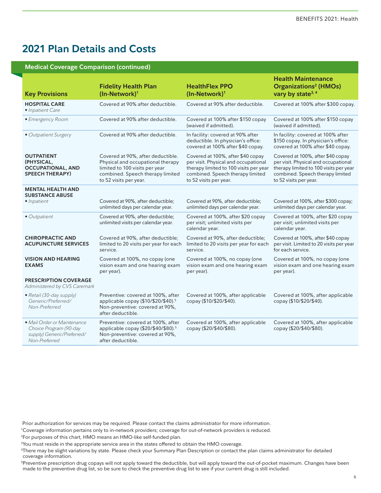## **2021 Plan Details and Costs**

#### **Medical Coverage Comparison (continued)**

| <b>Key Provisions</b>                                                                                | <b>Fidelity Health Plan</b><br>(In-Network) <sup>1</sup>                                                                                                               | <b>HealthFlex PPO</b><br>(In-Network) <sup>1</sup>                                                                                                                                | <b>Health Maintenance</b><br><b>Organizations<sup>2</sup> (HMOs)</b><br>vary by state <sup>3, 4</sup>                                                                             |
|------------------------------------------------------------------------------------------------------|------------------------------------------------------------------------------------------------------------------------------------------------------------------------|-----------------------------------------------------------------------------------------------------------------------------------------------------------------------------------|-----------------------------------------------------------------------------------------------------------------------------------------------------------------------------------|
| <b>HOSPITAL CARE</b><br>• Inpatient Care                                                             | Covered at 90% after deductible.                                                                                                                                       | Covered at 90% after deductible.                                                                                                                                                  | Covered at 100% after \$300 copay.                                                                                                                                                |
| • Emergency Room                                                                                     | Covered at 90% after deductible.                                                                                                                                       | Covered at 100% after \$150 copay<br>(waived if admitted).                                                                                                                        | Covered at 100% after \$150 copay<br>(waived if admitted).                                                                                                                        |
| • Outpatient Surgery                                                                                 | Covered at 90% after deductible.                                                                                                                                       | In facility: covered at 90% after<br>deductible. In physician's office:<br>covered at 100% after \$40 copay.                                                                      | In facility: covered at 100% after<br>\$150 copay. In physician's office:<br>covered at 100% after \$40 copay.                                                                    |
| <b>OUTPATIENT</b><br>(PHYSICAL,<br><b>OCCUPATIONAL, AND</b><br><b>SPEECH THERAPY)</b>                | Covered at 90%, after deductible.<br>Physical and occupational therapy<br>limited to 100 visits per year<br>combined. Speech therapy limited<br>to 52 visits per year. | Covered at 100%, after \$40 copay<br>per visit. Physical and occupational<br>therapy limited to 100 visits per year<br>combined. Speech therapy limited<br>to 52 visits per year. | Covered at 100%, after \$40 copay<br>per visit. Physical and occupational<br>therapy limited to 100 visits per year<br>combined. Speech therapy limited<br>to 52 visits per year. |
| <b>MENTAL HEALTH AND</b><br><b>SUBSTANCE ABUSE</b>                                                   |                                                                                                                                                                        |                                                                                                                                                                                   |                                                                                                                                                                                   |
| • Inpatient                                                                                          | Covered at 90%, after deductible;<br>unlimited days per calendar year.                                                                                                 | Covered at 90%, after deductible;<br>unlimited days per calendar year.                                                                                                            | Covered at 100%, after \$300 copay;<br>unlimited days per calendar year.                                                                                                          |
| • Outpatient                                                                                         | Covered at 90%, after deductible;<br>unlimited visits per calendar year.                                                                                               | Covered at 100%, after \$20 copay<br>per visit; unlimited visits per<br>calendar year.                                                                                            | Covered at 100%, after \$20 copay<br>per visit; unlimited visits per<br>calendar year.                                                                                            |
| <b>CHIROPRACTIC AND</b><br><b>ACUPUNCTURE SERVICES</b>                                               | Covered at 90%, after deductible;<br>limited to 20 visits per year for each<br>service.                                                                                | Covered at 90%, after deductible;<br>limited to 20 visits per year for each<br>service.                                                                                           | Covered at 100%, after \$40 copay<br>per visit. Limited to 20 visits per year<br>for each service.                                                                                |
| <b>VISION AND HEARING</b><br><b>EXAMS</b>                                                            | Covered at 100%, no copay (one<br>vision exam and one hearing exam<br>per year).                                                                                       | Covered at 100%, no copay (one<br>vision exam and one hearing exam<br>per year).                                                                                                  | Covered at 100%, no copay (one<br>vision exam and one hearing exam<br>per year).                                                                                                  |
| <b>PRESCRIPTION COVERAGE</b><br>Administered by CVS Caremark                                         |                                                                                                                                                                        |                                                                                                                                                                                   |                                                                                                                                                                                   |
| • Retail (30-day supply)<br>Generic/Preferred/<br>Non-Preferred                                      | Preventive: covered at 100%, after<br>applicable copay (\$10/\$20/\$40). <sup>5</sup><br>Non-preventive: covered at 90%,<br>after deductible.                          | Covered at 100%, after applicable<br>copay (\$10/\$20/\$40).                                                                                                                      | Covered at 100%, after applicable<br>copay (\$10/\$20/\$40).                                                                                                                      |
| · Mail Order or Maintenance<br>Choice Program (90-day<br>supply) Generic/Preferred/<br>Non-Preferred | Preventive: covered at 100%, after<br>applicable copay (\$20/\$40/\$80). <sup>5</sup><br>Non-preventive: covered at 90%,<br>after deductible.                          | Covered at 100%, after applicable<br>copay (\$20/\$40/\$80).                                                                                                                      | Covered at 100%, after applicable<br>copay (\$20/\$40/\$80).                                                                                                                      |

Prior authorization for services may be required. Please contact the claims administrator for more information.

<sup>1</sup> Coverage information pertains only to in-network providers; coverage for out-of-network providers is reduced.

<sup>2</sup> For purposes of this chart, HMO means an HMO-like self-funded plan.

 $\rm ^3$ You must reside in the appropriate service area in the states offered to obtain the HMO coverage.

<sup>4</sup> There may be slight variations by state. Please check your Summary Plan Description or contact the plan claims administrator for detailed coverage information.

<sup>5</sup> Preventive prescription drug copays will not apply toward the deductible, but will apply toward the out-of-pocket maximum. Changes have been made to the preventive drug list, so be sure to check the preventive drug list to see if your current drug is still included.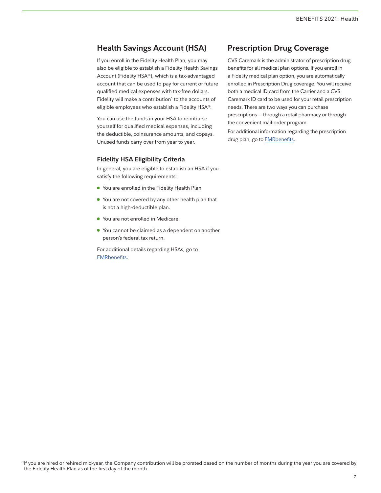## <span id="page-6-0"></span>**Health Savings Account (HSA)**

If you enroll in the Fidelity Health Plan, you may also be eligible to establish a Fidelity Health Savings Account (Fidelity HSA®), which is a tax-advantaged account that can be used to pay for current or future qualified medical expenses with tax-free dollars. Fidelity will make a contribution<sup>1</sup> to the accounts of eligible employees who establish a Fidelity HSA®.

You can use the funds in your HSA to reimburse yourself for qualified medical expenses, including the deductible, coinsurance amounts, and copays. Unused funds carry over from year to year.

#### **Fidelity HSA Eligibility Criteria**

In general, you are eligible to establish an HSA if you satisfy the following requirements:

- You are enrolled in the Fidelity Health Plan.
- You are not covered by any other health plan that is not a high-deductible plan.
- You are not enrolled in Medicare.
- You cannot be claimed as a dependent on another person's federal tax return.

For additional details regarding HSAs, go to [FMRbenefits.](http://fmrbenefits.com/Health/Tax-Advantaged-Accounts/Fidelity-Health-Savings-Account-HSA)

## **Prescription Drug Coverage**

CVS Caremark is the administrator of prescription drug benefits for all medical plan options. If you enroll in a Fidelity medical plan option, you are automatically enrolled in Prescription Drug coverage. You will receive both a medical ID card from the Carrier and a CVS Caremark ID card to be used for your retail prescription needs. There are two ways you can purchase prescriptions—through a retail pharmacy or through the convenient mail-order program.

For additional information regarding the prescription drug plan, go to [FMRbenefits](http://fmrbenefits.com/Health/Coverage-Offering/Prescription-Drugs).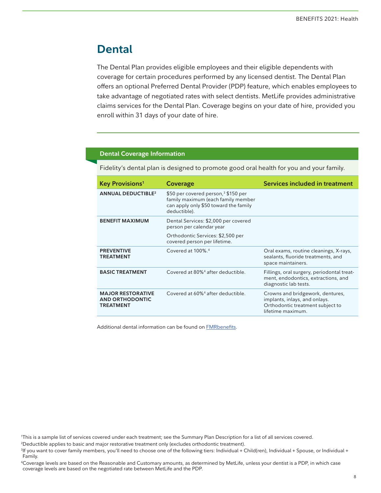# <span id="page-7-0"></span>**Dental**

The Dental Plan provides eligible employees and their eligible dependents with coverage for certain procedures performed by any licensed dentist. The Dental Plan offers an optional Preferred Dental Provider (PDP) feature, which enables employees to take advantage of negotiated rates with select dentists. MetLife provides administrative claims services for the Dental Plan. Coverage begins on your date of hire, provided you enroll within 31 days of your date of hire.

## **Dental Coverage Information**

Fidelity's dental plan is designed to promote good oral health for you and your family.

| <b>Key Provisions<sup>1</sup></b>                                      | <b>Coverage</b>                                                                                                                                | Services included in treatment                                                                                             |
|------------------------------------------------------------------------|------------------------------------------------------------------------------------------------------------------------------------------------|----------------------------------------------------------------------------------------------------------------------------|
| <b>ANNUAL DEDUCTIBLE<sup>2</sup></b>                                   | \$50 per covered person, <sup>3</sup> \$150 per<br>family maximum (each family member<br>can apply only \$50 toward the family<br>deductible). |                                                                                                                            |
| <b>BENEFIT MAXIMUM</b>                                                 | Dental Services: \$2,000 per covered<br>person per calendar year                                                                               |                                                                                                                            |
|                                                                        | Orthodontic Services: \$2,500 per<br>covered person per lifetime.                                                                              |                                                                                                                            |
| <b>PREVENTIVE</b><br><b>TREATMENT</b>                                  | Covered at 100%. <sup>4</sup>                                                                                                                  | Oral exams, routine cleanings, X-rays,<br>sealants, fluoride treatments, and<br>space maintainers.                         |
| <b>BASIC TREATMENT</b>                                                 | Covered at 80% <sup>4</sup> after deductible.                                                                                                  | Fillings, oral surgery, periodontal treat-<br>ment, endodontics, extractions, and<br>diagnostic lab tests.                 |
| <b>MAJOR RESTORATIVE</b><br><b>AND ORTHODONTIC</b><br><b>TREATMENT</b> | Covered at 60% <sup>4</sup> after deductible.                                                                                                  | Crowns and bridgework, dentures,<br>implants, inlays, and onlays.<br>Orthodontic treatment subject to<br>lifetime maximum. |

Additional dental information can be found on [FMRbenefits](http://fmrbenefits.com/Health/Coverage-Offering/Dental).

2 Deductible applies to basic and major restorative treatment only (excludes orthodontic treatment).

<sup>1</sup> This is a sample list of services covered under each treatment; see the Summary Plan Description for a list of all services covered.

<sup>3</sup> If you want to cover family members, you'll need to choose one of the following tiers: Individual + Child(ren), Individual + Spouse, or Individual + Family.

<sup>4</sup> Coverage levels are based on the Reasonable and Customary amounts, as determined by MetLife, unless your dentist is a PDP, in which case coverage levels are based on the negotiated rate between MetLife and the PDP.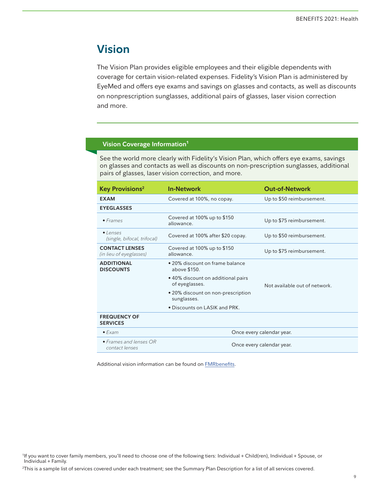# <span id="page-8-0"></span>**Vision**

The Vision Plan provides eligible employees and their eligible dependents with coverage for certain vision-related expenses. Fidelity's Vision Plan is administered by EyeMed and offers eye exams and savings on glasses and contacts, as well as discounts on nonprescription sunglasses, additional pairs of glasses, laser vision correction and more.

## **Vision Coverage Information1**

See the world more clearly with Fidelity's Vision Plan, which offers eye exams, savings on glasses and contacts as well as discounts on non-prescription sunglasses, additional pairs of glasses, laser vision correction, and more.

| <b>Key Provisions<sup>2</sup></b>                | <b>In-Network</b>                                    | <b>Out-of-Network</b>         |
|--------------------------------------------------|------------------------------------------------------|-------------------------------|
| <b>EXAM</b>                                      | Covered at 100%, no copay.                           | Up to \$50 reimbursement.     |
| <b>EYEGLASSES</b>                                |                                                      |                               |
| $•$ Frames                                       | Covered at 100% up to \$150<br>allowance.            | Up to \$75 reimbursement.     |
| $\bullet$ lenses<br>(single, bifocal, trifocal)  | Covered at 100% after \$20 copay.                    | Up to \$50 reimbursement.     |
| <b>CONTACT LENSES</b><br>(in lieu of eyeglasses) | Covered at 100% up to \$150<br>allowance.            | Up to \$75 reimbursement.     |
| <b>ADDITIONAL</b><br><b>DISCOUNTS</b>            | • 20% discount on frame balance<br>above \$150.      |                               |
|                                                  | • 40% discount on additional pairs<br>of eyeglasses. | Not available out of network. |
|                                                  | • 20% discount on non-prescription<br>sunglasses.    |                               |
|                                                  | • Discounts on LASIK and PRK.                        |                               |
| <b>FREQUENCY OF</b><br><b>SERVICES</b>           |                                                      |                               |
| $\bullet$ Fxam                                   | Once every calendar year.                            |                               |
| • Frames and lenses OR<br>contact lenses         | Once every calendar year.                            |                               |

Additional vision information can be found on [FMRbenefits](http://fmrbenefits.com/Health/Coverage-Offering/Vision).

2 This is a sample list of services covered under each treatment; see the Summary Plan Description for a list of all services covered.

<sup>1</sup> If you want to cover family members, you'll need to choose one of the following tiers: Individual + Child(ren), Individual + Spouse, or Individual + Family.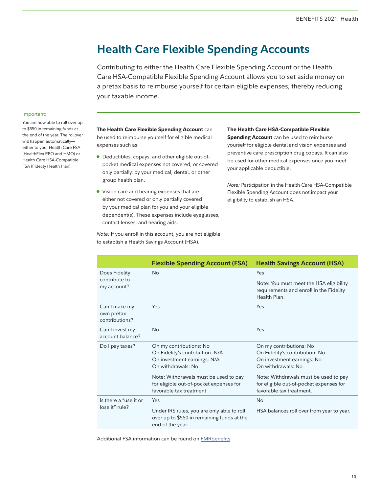# <span id="page-9-0"></span>**Health Care Flexible Spending Accounts**

Contributing to either the Health Care Flexible Spending Account or the Health Care HSA-Compatible Flexible Spending Account allows you to set aside money on a pretax basis to reimburse yourself for certain eligible expenses, thereby reducing your taxable income.

#### Important:

You are now able to roll over up to \$550 in remaining funds at the end of the year. The rollover will happen automatically either to your Health Care FSA (HealthFlex PPO and HMO) or Health Care HSA-Compatible FSA (Fidelity Health Plan).

**The Health Care Flexible Spending Account** can be used to reimburse yourself for eligible medical expenses such as:

- Deductibles, copays, and other eligible out-ofpocket medical expenses not covered, or covered only partially, by your medical, dental, or other group health plan.
- Vision care and hearing expenses that are either not covered or only partially covered by your medical plan for you and your eligible dependent(s). These expenses include eyeglasses, contact lenses, and hearing aids.

**The Health Care HSA-Compatible Flexible Spending Account** can be used to reimburse yourself for eligible dental and vision expenses and preventive care prescription drug copays. It can also be used for other medical expenses once you meet your applicable deductible.

*Note:* Participation in the Health Care HSA-Compatible Flexible Spending Account does not impact your eligibility to establish an HSA.

*Note:* If you enroll in this account, you are not eligible to establish a Health Savings Account (HSA).

|                                               | <b>Flexible Spending Account (FSA)</b>                                                                          | <b>Health Savings Account (HSA)</b>                                                                           |
|-----------------------------------------------|-----------------------------------------------------------------------------------------------------------------|---------------------------------------------------------------------------------------------------------------|
| Does Fidelity                                 | <b>No</b>                                                                                                       | Yes                                                                                                           |
| contribute to<br>my account?                  |                                                                                                                 | Note: You must meet the HSA eligibility<br>requirements and enroll in the Fidelity<br>Health Plan.            |
| Can I make my<br>own pretax<br>contributions? | Yes                                                                                                             | Yes                                                                                                           |
| Can I invest my<br>account balance?           | <b>No</b>                                                                                                       | Yes                                                                                                           |
| Do I pay taxes?                               | On my contributions: No<br>On Fidelity's contribution: N/A<br>On investment earnings: N/A<br>On withdrawals: No | On my contributions: No<br>On Fidelity's contribution: No<br>On investment earnings: No<br>On withdrawals: No |
|                                               | Note: Withdrawals must be used to pay<br>for eligible out-of-pocket expenses for<br>favorable tax treatment.    | Note: Withdrawals must be used to pay<br>for eligible out-of-pocket expenses for<br>favorable tax treatment.  |
| Is there a "use it or                         | Yes                                                                                                             | <b>No</b>                                                                                                     |
| lose it" rule?                                | Under IRS rules, you are only able to roll<br>over up to \$550 in remaining funds at the<br>end of the year.    | HSA balances roll over from year to year.                                                                     |

Additional FSA information can be found on [FMRbenefits](http://fmrbenefits.com/Health/Tax-Advantaged-Accounts/Health-Care-Flexible-Spending-Accounts-FSAs).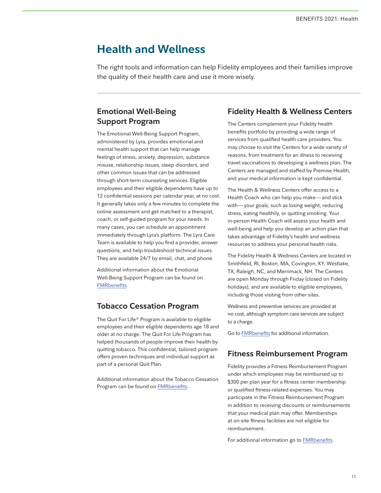# <span id="page-10-0"></span>**Health and Wellness**

The right tools and information can help Fidelity employees and their families improve the quality of their health care and use it more wisely.

## **Emotional Well-Being Support Program**

The Emotional Well-Being Support Program, administered by Lyra, provides emotional and mental health support that can help manage feelings of stress, anxiety, depression, substance misuse, relationship issues, sleep disorders, and other common issues that can be addressed through short-term counseling services. Eligible employees and their eligible dependents have up to 12 confidential sessions per calendar year, at no cost. It generally takes only a few minutes to complete the online assessment and get matched to a therapist, coach, or self-guided program for your needs. In many cases, you can schedule an appointment immediately through Lyra's platform. The Lyra Care Team is available to help you find a provider, answer questions, and help troubleshoot technical issues. They are available 24/7 by email, chat, and phone.

Additional information about the Emotional Well-Being Support Program can be found on [FMRbenefits.](https://fmrbenefits.com/Health/Health-and-Wellness/Emotional-Well-Being)

## **Tobacco Cessation Program**

The Quit For Life® Program is available to eligible employees and their eligible dependents age 18 and older at no charge. The Quit For Life Program has helped thousands of people improve their health by quitting tobacco. This confidential, tailored program offers proven techniques and individual support as part of a personal Quit Plan.

Additional information about the Tobacco Cessation Program can be found on [FMRbenefits.](http://fmrbenefits.com/Health/Health-and-Wellness/Tobacco-Cessation-Program)

## **Fidelity Health & Wellness Centers**

The Centers complement your Fidelity health benefits portfolio by providing a wide range of services from qualified health care providers. You may choose to visit the Centers for a wide variety of reasons, from treatment for an illness to receiving travel vaccinations to developing a wellness plan. The Centers are managed and staffed by Premise Health, and your medical information is kept confidential.

The Health & Wellness Centers offer access to a Health Coach who can help you make—and stick with—your goals, such as losing weight, reducing stress, eating healthily, or quitting smoking. Your in-person Health Coach will assess your health and well-being and help you develop an action plan that takes advantage of Fidelity's health and wellness resources to address your personal health risks.

The Fidelity Health & Wellness Centers are located in Smithfield, RI, Boston, MA, Covington, KY, Westlake, TX, Raleigh, NC, and Merrimack, NH. The Centers are open Monday through Friday (closed on Fidelity holidays), and are available to eligible employees, including those visiting from other sites.

Wellness and preventive services are provided at no cost, although symptom care services are subject to a charge.

Go to [FMRbenefits](http://fmrbenefits.com/Health/Health-and-Wellness/On-Site-Health-and-Wellness-Centers) for additional information.

## **Fitness Reimbursement Program**

Fidelity provides a Fitness Reimbursement Program under which employees may be reimbursed up to \$300 per plan year for a fitness center membership or qualified fitness-related expenses. You may participate in the Fitness Reimbursement Program in addition to receiving discounts or reimbursements that your medical plan may offer. Memberships at on-site fitness facilities are not eligible for reimbursement.

For additional information go to [FMRbenefits](http://fmrbenefits.com/Health/Health-and-Wellness/Fitness-Reimbursement-Program).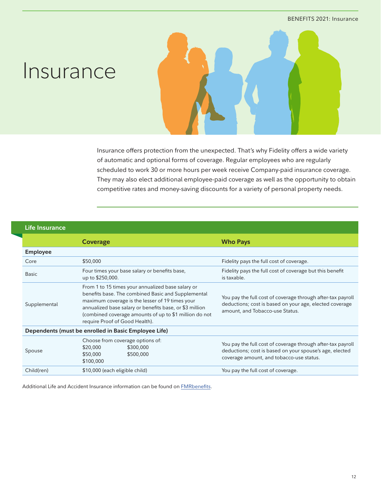# <span id="page-11-0"></span>**Insurance**

Insurance offers protection from the unexpected. That's why Fidelity offers a wide variety of automatic and optional forms of coverage. Regular employees who are regularly scheduled to work 30 or more hours per week receive Company-paid insurance coverage. They may also elect additional employee-paid coverage as well as the opportunity to obtain competitive rates and money-saving discounts for a variety of personal property needs.

### **Life Insurance**

|                                                      | <b>Coverage</b>                                                                                                                                                                                                                                                                                                   | <b>Who Pays</b>                                                                                                                                                    |
|------------------------------------------------------|-------------------------------------------------------------------------------------------------------------------------------------------------------------------------------------------------------------------------------------------------------------------------------------------------------------------|--------------------------------------------------------------------------------------------------------------------------------------------------------------------|
| <b>Employee</b>                                      |                                                                                                                                                                                                                                                                                                                   |                                                                                                                                                                    |
| Core                                                 | \$50,000                                                                                                                                                                                                                                                                                                          | Fidelity pays the full cost of coverage.                                                                                                                           |
| <b>Basic</b>                                         | Four times your base salary or benefits base,<br>up to \$250,000.                                                                                                                                                                                                                                                 | Fidelity pays the full cost of coverage but this benefit<br>is taxable.                                                                                            |
| Supplemental                                         | From 1 to 15 times your annualized base salary or<br>benefits base. The combined Basic and Supplemental<br>maximum coverage is the lesser of 19 times your<br>annualized base salary or benefits base, or \$3 million<br>(combined coverage amounts of up to \$1 million do not<br>require Proof of Good Health). | You pay the full cost of coverage through after-tax payroll<br>deductions; cost is based on your age, elected coverage<br>amount, and Tobacco-use Status.          |
| Dependents (must be enrolled in Basic Employee Life) |                                                                                                                                                                                                                                                                                                                   |                                                                                                                                                                    |
| Spouse                                               | Choose from coverage options of:<br>\$20,000<br>\$300,000<br>\$50,000<br>\$500,000<br>\$100,000                                                                                                                                                                                                                   | You pay the full cost of coverage through after-tax payroll<br>deductions; cost is based on your spouse's age, elected<br>coverage amount, and tobacco-use status. |
| Child(ren)                                           | \$10,000 (each eligible child)                                                                                                                                                                                                                                                                                    | You pay the full cost of coverage.                                                                                                                                 |

Additional Life and Accident Insurance information can be found on [FMRbenefits.](http://fmrbenefits.com/Insurance/Offering/Life-Insurance)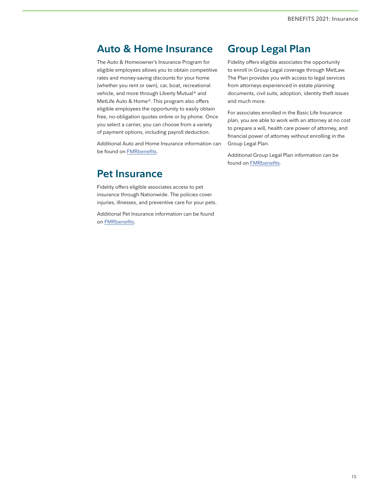## <span id="page-12-0"></span>**Auto & Home Insurance**

The Auto & Homeowner's Insurance Program for eligible employees allows you to obtain competitive rates and money-saving discounts for your home (whether you rent or own), car, boat, recreational vehicle, and more through Liberty Mutual® and MetLife Auto & Home®. This program also offers eligible employees the opportunity to easily obtain free, no-obligation quotes online or by phone. Once you select a carrier, you can choose from a variety of payment options, including payroll deduction.

Additional Auto and Home Insurance information can be found on [FMRbenefits.](http://fmrbenefits.com/Insurance/Offering/Group-Auto-and-Home-Insurance-Program)

## **Pet Insurance**

Fidelity offers eligible associates access to pet insurance through Nationwide. The policies cover injuries, illnesses, and preventive care for your pets.

Additional Pet Insurance information can be found on [FMRbenefits.](http://fmrbenefits.com/Insurance/Offering/Pet-Insurance)

# **Group Legal Plan**

Fidelity offers eligible associates the opportunity to enroll in Group Legal coverage through MetLaw. The Plan provides you with access to legal services from attorneys experienced in estate planning documents, civil suits, adoption, identity theft issues and much more.

For associates enrolled in the Basic Life Insurance plan, you are able to work with an attorney at no cost to prepare a will, health care power of attorney, and financial power of attorney without enrolling in the Group Legal Plan.

Additional Group Legal Plan information can be found on [FMRbenefits.](https://fmrbenefits.com/WorkandLife/Home-and-Travel/Group-Legal-Plan)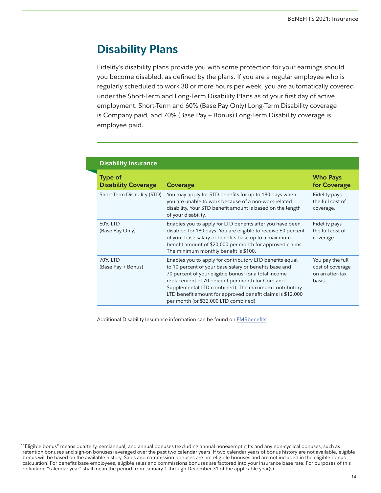# <span id="page-13-0"></span>**Disability Plans**

Fidelity's disability plans provide you with some protection for your earnings should you become disabled, as defined by the plans. If you are a regular employee who is regularly scheduled to work 30 or more hours per week, you are automatically covered under the Short-Term and Long-Term Disability Plans as of your first day of active employment. Short-Term and 60% (Base Pay Only) Long-Term Disability coverage is Company paid, and 70% (Base Pay + Bonus) Long-Term Disability coverage is employee paid.

| <b>Disability Insurance</b>                  |                                                                                                                                                                                                                                                                                                                                                                                                            |                                                                   |
|----------------------------------------------|------------------------------------------------------------------------------------------------------------------------------------------------------------------------------------------------------------------------------------------------------------------------------------------------------------------------------------------------------------------------------------------------------------|-------------------------------------------------------------------|
| <b>Type of</b><br><b>Disability Coverage</b> | <b>Coverage</b>                                                                                                                                                                                                                                                                                                                                                                                            | <b>Who Pays</b><br>for Coverage                                   |
| Short-Term Disability (STD)                  | You may apply for STD benefits for up to 180 days when<br>you are unable to work because of a non-work-related<br>disability. Your STD benefit amount is based on the length<br>of your disability.                                                                                                                                                                                                        | Fidelity pays<br>the full cost of<br>coverage.                    |
| 60% LTD<br>(Base Pay Only)                   | Enables you to apply for LTD benefits after you have been<br>disabled for 180 days. You are eligible to receive 60 percent<br>of your base salary or benefits base up to a maximum<br>benefit amount of \$20,000 per month for approved claims.<br>The minimum monthly benefit is \$100.                                                                                                                   | Fidelity pays<br>the full cost of<br>coverage.                    |
| 70% LTD<br>(Base Pay + Bonus)                | Enables you to apply for contributory LTD benefits equal<br>to 10 percent of your base salary or benefits base and<br>70 percent of your eligible bonus <sup>1</sup> (or a total income<br>replacement of 70 percent per month for Core and<br>Supplemental LTD combined). The maximum contributory<br>LTD benefit amount for approved benefit claims is \$12,000<br>per month (or \$32,000 LTD combined). | You pay the full<br>cost of coverage<br>on an after-tax<br>basis. |

Additional Disability Insurance information can be found on [FMRbenefits](http://fmrbenefits.com/Insurance/Offering/Disability-Insurance).

<sup>1</sup> "Eligible bonus" means quarterly, semiannual, and annual bonuses (excluding annual nonexempt gifts and any non-cyclical bonuses, such as retention bonuses and sign-on bonuses) averaged over the past two calendar years. If two calendar years of bonus history are not available, eligible bonus will be based on the available history. Sales and commission bonuses are not eligible bonuses and are not included in the eligible bonus calculation. For benefits base employees, eligible sales and commissions bonuses are factored into your insurance base rate. For purposes of this definition, "calendar year" shall mean the period from January 1 through December 31 of the applicable year(s).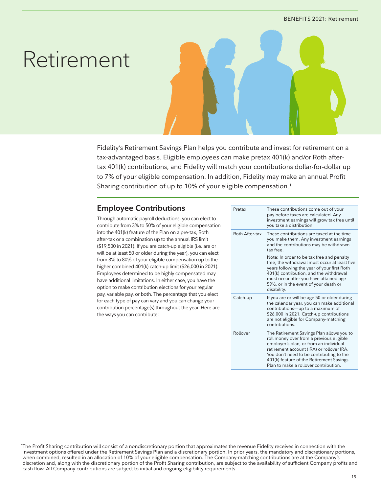# <span id="page-14-0"></span>Retirement

Fidelity's Retirement Savings Plan helps you contribute and invest for retirement on a tax-advantaged basis. Eligible employees can make pretax 401(k) and/or Roth aftertax 401(k) contributions, and Fidelity will match your contributions dollar-for-dollar up to 7% of your eligible compensation. In addition, Fidelity may make an annual Profit Sharing contribution of up to 10% of your eligible compensation.1

## **Employee Contributions**

Through automatic payroll deductions, you can elect to contribute from 3% to 50% of your eligible compensation into the 401(k) feature of the Plan on a pre-tax, Roth after-tax or a combination up to the annual IRS limit (\$19,500 in 2021). If you are catch-up eligible (i.e. are or will be at least 50 or older during the year), you can elect from 3% to 80% of your eligible compensation up to the higher combined 401(k) catch-up limit (\$26,000 in 2021). Employees determined to be highly compensated may have additional limitations. In either case, you have the option to make contribution elections for your regular pay, variable pay, or both. The percentage that you elect for each type of pay can vary and you can change your contribution percentage(s) throughout the year. Here are the ways you can contribute:

| Pretax         | These contributions come out of your<br>pay before taxes are calculated. Any<br>investment earnings will grow tax free until<br>you take a distribution.                                                                                                                                                      |
|----------------|---------------------------------------------------------------------------------------------------------------------------------------------------------------------------------------------------------------------------------------------------------------------------------------------------------------|
| Roth After-tax | These contributions are taxed at the time<br>you make them. Any investment earnings<br>and the contributions may be withdrawn<br>tax free                                                                                                                                                                     |
|                | Note: In order to be tax free and penalty<br>free, the withdrawal must occur at least five<br>years following the year of your first Roth<br>401(k) contribution, and the withdrawal<br>must occur after you have attained age<br>591/ <sub>2</sub> , or in the event of your death or<br>disability.         |
| Catch-up       | If you are or will be age 50 or older during<br>the calendar year, you can make additional<br>contributions-up to a maximum of<br>\$26,000 in 2021. Catch-up contributions<br>are not eligible for Company-matching<br>contributions.                                                                         |
| Rollover       | The Retirement Savings Plan allows you to<br>roll money over from a previous eligible<br>employer's plan, or from an individual<br>retirement account (IRA) or rollover IRA.<br>You don't need to be contributing to the<br>401(k) feature of the Retirement Savings<br>Plan to make a rollover contribution. |

1 The Profit Sharing contribution will consist of a nondiscretionary portion that approximates the revenue Fidelity receives in connection with the investment options offered under the Retirement Savings Plan and a discretionary portion. In prior years, the mandatory and discretionary portions, when combined, resulted in an allocation of 10% of your eligible compensation. The Company-matching contributions are at the Company's discretion and, along with the discretionary portion of the Profit Sharing contribution, are subject to the availability of sufficient Company profits and cash flow. All Company contributions are subject to initial and ongoing eligibility requirements.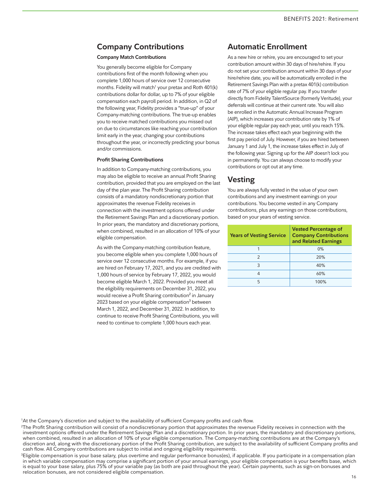## <span id="page-15-0"></span>**Company Contributions**

#### **Company Match Contributions**

You generally become eligible for Company contributions first of the month following when you complete 1,000 hours of service over 12 consecutive months. Fidelity will match<sup>1</sup> your pretax and Roth 401(k) contributions dollar for dollar, up to 7% of your eligible compensation each payroll period. In addition, in Q2 of the following year, Fidelity provides a "true-up" of your Company-matching contributions. The true-up enables you to receive matched contributions you missed out on due to circumstances like reaching your contribution limit early in the year, changing your contributions throughout the year, or incorrectly predicting your bonus and/or commissions.

#### **Profit Sharing Contributions**

In addition to Company-matching contributions, you may also be eligible to receive an annual Profit Sharing contribution, provided that you are employed on the last day of the plan year. The Profit Sharing contribution consists of a mandatory nondiscretionary portion that approximates the revenue Fidelity receives in connection with the investment options offered under the Retirement Savings Plan and a discretionary portion. In prior years, the mandatory and discretionary portions, when combined, resulted in an allocation of 10% of your eligible compensation.

As with the Company-matching contribution feature, you become eligible when you complete 1,000 hours of service over 12 consecutive months. For example, if you are hired on February 17, 2021, and you are credited with 1,000 hours of service by February 17, 2022, you would become eligible March 1, 2022. Provided you meet all the eligibility requirements on December 31, 2022, you would receive a Profit Sharing contribution<sup>2</sup> in January 2023 based on your eligible compensation $3$  between March 1, 2022, and December 31, 2022. In addition, to continue to receive Profit Sharing Contributions, you will need to continue to complete 1,000 hours each year.

## **Automatic Enrollment**

As a new hire or rehire, you are encouraged to set your contribution amount within 30 days of hire/rehire. If you do not set your contribution amount within 30 days of your hire/rehire date, you will be automatically enrolled in the Retirement Savings Plan with a pretax 401(k) contribution rate of 7% of your eligible regular pay. If you transfer directly from Fidelity TalentSource (formerly Veritude), your deferrals will continue at their current rate. You will also be enrolled in the Automatic Annual Increase Program (AIP), which increases your contribution rate by 1% of your eligible regular pay each year, until you reach 15%. The increase takes effect each year beginning with the first pay period of July. However, if you are hired between January 1 and July 1, the increase takes effect in July of the following year. Signing up for the AIP doesn't lock you in permanently. You can always choose to modify your contributions or opt out at any time.

## **Vesting**

You are always fully vested in the value of your own contributions and any investment earnings on your contributions. You become vested in any Company contributions, plus any earnings on those contributions, based on your years of vesting service.

| <b>Years of Vesting Service</b> | <b>Vested Percentage of</b><br><b>Company Contributions</b><br>and Related Earnings |
|---------------------------------|-------------------------------------------------------------------------------------|
|                                 | 0%                                                                                  |
| $\mathcal{P}$                   | 20%                                                                                 |
| 3                               | 40%                                                                                 |
| Δ                               | 60%                                                                                 |
| 5                               | 100%                                                                                |

1 At the Company's discretion and subject to the availability of sufficient Company profits and cash flow.

2 The Profit Sharing contribution will consist of a nondiscretionary portion that approximates the revenue Fidelity receives in connection with the investment options offered under the Retirement Savings Plan and a discretionary portion. In prior years, the mandatory and discretionary portions, when combined, resulted in an allocation of 10% of your eligible compensation. The Company-matching contributions are at the Company's discretion and, along with the discretionary portion of the Profit Sharing contribution, are subject to the availability of sufficient Company profits and cash flow. All Company contributions are subject to initial and ongoing eligibility requirements.

3 Eligible compensation is your base salary, plus overtime and regular performance bonus(es), if applicable. If you participate in a compensation plan in which variable compensation may comprise a significant portion of your annual earnings, your eligible compensation is your benefits base, which is equal to your base salary, plus 75% of your variable pay (as both are paid throughout the year). Certain payments, such as sign-on bonuses and relocation bonuses, are not considered eligible compensation.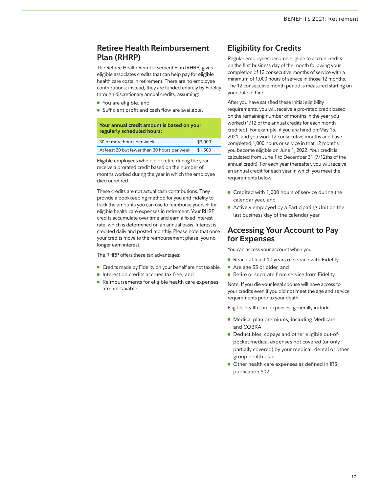## <span id="page-16-0"></span>**Retiree Health Reimbursement Plan (RHRP)**

The Retiree Health Reimbursement Plan (RHRP) gives eligible associates credits that can help pay for eligible health care costs in retirement. There are no employee contributions; instead, they are funded entirely by Fidelity through discretionary annual credits, assuming:

- You are eligible, and
- Sufficient profit and cash flow are available.

| Your annual credit amount is based on your<br>regularly scheduled hours: |      |
|--------------------------------------------------------------------------|------|
|                                                                          | 5000 |

| 30 or more hours per week                    | \$3,000 |
|----------------------------------------------|---------|
| At least 20 but fewer than 30 hours per week | \$1,500 |

Eligible employees who die or retire during the year receive a prorated credit based on the number of months worked during the year in which the employee died or retired.

These credits are not actual cash contributions. They provide a bookkeeping method for you and Fidelity to track the amounts you can use to reimburse yourself for eligible health care expenses in retirement. Your RHRP credits accumulate over time and earn a fixed interest rate, which is determined on an annual basis. Interest is credited daily and posted monthly. Please note that once your credits move to the reimbursement phase, you no longer earn interest.

The RHRP offers these tax advantages:

- Credits made by Fidelity on your behalf are not taxable,
- Interest on credits accrues tax free, and
- Reimbursements for eligible health care expenses are not taxable.

## **Eligibility for Credits**

Regular employees become eligible to accrue credits on the first business day of the month following your completion of 12 consecutive months of service with a minimum of 1,000 hours of service in those 12 months. The 12 consecutive month period is measured starting on your date of hire.

After you have satisfied these initial eligibility requirements, you will receive a pro-rated credit based on the remaining number of months in the year you worked (1/12 of the annual credits for each month credited). For example, if you are hired on May 15, 2021, and you work 12 consecutive months and have completed 1,000 hours or service in that 12 months, you become eligible on June 1, 2022. Your credit is calculated from June 1 to December 31 (7/12ths of the annual credit). For each year thereafter, you will receive an annual credit for each year in which you meet the requirements below:

- Credited with 1,000 hours of service during the calendar year, and
- Actively employed by a Participating Unit on the last business day of the calendar year.

## **Accessing Your Account to Pay for Expenses**

You can access your account when you:

- Reach at least 10 years of service with Fidelity,
- Are age 55 or older, and
- Retire or separate from service from Fidelity.

Note: If you die your legal spouse will have access to your credits even if you did not meet the age and service requirements prior to your death.

Eligible health care expenses, generally include:

- Medical plan premiums, including Medicare and COBRA.
- Deductibles, copays and other eligible out-ofpocket medical expenses not covered (or only partially covered) by your medical, dental or other group health plan.
- Other health care expenses as defined in IRS publication 502.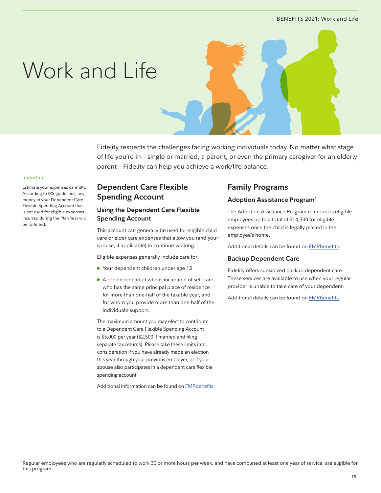#### BENEFITS 2021: Work and Life

# <span id="page-17-0"></span>Work and Life



Fidelity respects the challenges facing working individuals today. No matter what stage of life you're in—single or married, a parent, or even the primary caregiver for an elderly parent—Fidelity can help you achieve a work/life balance.

#### Important:

Estimate your expenses carefully. According to IRS guidelines, any money in your Dependent Care Flexible Spending Account that is not used for eligible expenses incurred during the Plan Year will be forfeited.

## **Dependent Care Flexible Spending Account**

### **Using the Dependent Care Flexible Spending Account**

This account can generally be used for eligible child care or elder care expenses that allow you (and your spouse, if applicable) to continue working.

Eligible expenses generally include care for:

- Your dependent children under age 13
- A dependent adult who is incapable of self-care, who has the same principal place of residence for more than one-half of the taxable year, and for whom you provide more than one-half of the individual's support.

The maximum amount you may elect to contribute to a Dependent Care Flexible Spending Account is \$5,000 per year (\$2,500 if married and filing separate tax returns). Please take these limits into consideration if you have already made an election this year through your previous employer, or if your spouse also participates in a dependent care flexible spending account.

Additional information can be found on [FMRbenefits](http://fmrbenefits.com/WorkandLife/Family/Dependent-Care-Flexible-Spending-Account-FSA).

## **Family Programs**

#### **Adoption Assistance Program1**

The Adoption Assistance Program reimburses eligible employees up to a total of \$14,300 for eligible expenses once the child is legally placed in the employee's home.

Additional details can be found on [FMRbenefits](http://fmrbenefits.com/WorkandLife/Family/Adoption-Assistance).

#### **Backup Dependent Care**

Fidelity offers subsidized backup dependent care. These services are available to use when your regular provider is unable to take care of your dependent.

Additional details can be found on [FMRbenefits](http://fmrbenefits.com/WorkandLife/Family/Backup-Dependent-Care).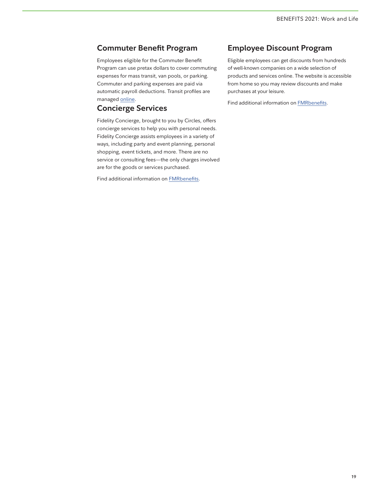## <span id="page-18-0"></span>**Commuter Benefit Program**

Employees eligible for the Commuter Benefit Program can use pretax dollars to cover commuting expenses for mass transit, van pools, or parking. Commuter and parking expenses are paid via automatic payroll deductions. Transit profiles are managed [online.](http://fmrbenefits.com/WorkandLife/Home-and-Travel/Commuter-Benefit)

## **Concierge Services**

Fidelity Concierge, brought to you by Circles, offers concierge services to help you with personal needs. Fidelity Concierge assists employees in a variety of ways, including party and event planning, personal shopping, event tickets, and more. There are no service or consulting fees—the only charges involved are for the goods or services purchased.

Find additional information on **[FMRbenefits](http://fmrbenefits.com/WorkandLife/Home-and-Travel/Concierge-Services)**.

## **Employee Discount Program**

Eligible employees can get discounts from hundreds of well-known companies on a wide selection of products and services online. The website is accessible from home so you may review discounts and make purchases at your leisure.

Find additional information on [FMRbenefits.](http://fmrbenefits.com/WorkandLife/Home-and-Travel/Employee-Discounts)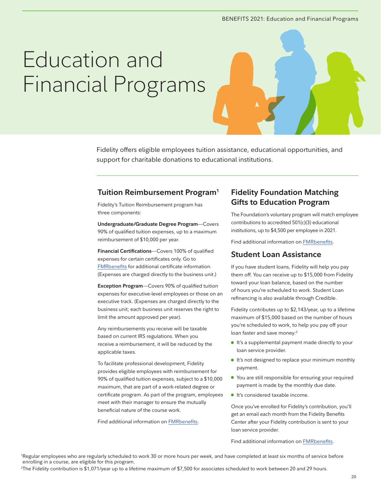#### BENEFITS 2021: Education and Financial Programs

# <span id="page-19-0"></span>Education and Financial Programs

Fidelity offers eligible employees tuition assistance, educational opportunities, and support for charitable donations to educational institutions.

## **Tuition Reimbursement Program1**

Fidelity's Tuition Reimbursement program has three components:

**Undergraduate/Graduate Degree Program**—Covers 90% of qualified tuition expenses, up to a maximum reimbursement of \$10,000 per year.

**Financial Certifications**—Covers 100% of qualified expenses for certain certificates only. Go to [FMRbenefits](http://fmrbenefits.com/WorkandLife/Education-and-Charitable-Donations/Tuition-Reimbursement) for additional certificate information. (Expenses are charged directly to the business unit.)

**Exception Program**—Covers 90% of qualified tuition expenses for executive-level employees or those on an executive track. (Expenses are charged directly to the business unit; each business unit reserves the right to limit the amount approved per year).

Any reimbursements you receive will be taxable based on current IRS regulations. When you receive a reimbursement, it will be reduced by the applicable taxes.

To facilitate professional development, Fidelity provides eligible employees with reimbursement for 90% of qualified tuition expenses, subject to a \$10,000 maximum, that are part of a work-related degree or certificate program. As part of the program, employees meet with their manager to ensure the mutually beneficial nature of the course work.

Find additional information on [FMRbenefits.](http://fmrbenefits.com/WorkandLife/Education-and-Charitable-Donations/Tuition-Reimbursement)

## **Fidelity Foundation Matching Gifts to Education Program**

The Foundation's voluntary program will match employee contributions to accredited 501(c)(3) educational institutions, up to \$4,500 per employee in 2021.

Find additional information on [FMRbenefits.](http://fmrbenefits.com/WorkandLife/Education-and-Charitable-Donations/Matching-Gifts-to-Education)

## **Student Loan Assistance**

If you have student loans, Fidelity will help you pay them off. You can receive up to \$15,000 from Fidelity toward your loan balance, based on the number of hours you're scheduled to work. Student Loan refinancing is also available through Credible.

Fidelity contributes up to \$2,143/year, up to a lifetime maximum of \$15,000 based on the number of hours you're scheduled to work, to help you pay off your loan faster and save money:<sup>2</sup>

- It's a supplemental payment made directly to your loan service provider.
- It's not designed to replace your minimum monthly payment.
- You are still responsible for ensuring your required payment is made by the monthly due date.
- It's considered taxable income.

Once you've enrolled for Fidelity's contribution, you'll get an email each month from the Fidelity Benefits Center after your Fidelity contribution is sent to your loan service provider.

Find additional information on [FMRbenefits.](http://fmrbenefits.com/WorkandLife/Education-and-Charitable-Donations/StepAheadStudentLoanAssistance)

1 Regular employees who are regularly scheduled to work 30 or more hours per week, and have completed at least six months of service before enrolling in a course, are eligible for this program.

2 The Fidelity contribution is \$1,071/year up to a lifetime maximum of \$7,500 for associates scheduled to work between 20 and 29 hours.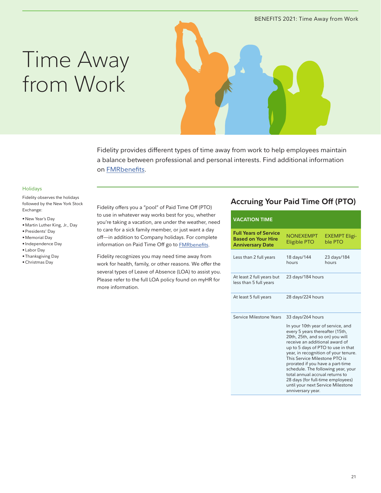# <span id="page-20-0"></span>Time Away from Work



Fidelity provides different types of time away from work to help employees maintain a balance between professional and personal interests. Find additional information on [FMRbenefits](http://fmrbenefits.com/WorkandLife/Family/Paid-Time-Off).

#### Holidays

Fidelity observes the holidays followed by the New York Stock Exchange:

- New Year's Day
- Martin Luther King, Jr., Day
- Presidents' Day
- Memorial Day
- Independence Day
- Labor Day
- Thanksgiving Day
- Christmas Day

Fidelity offers you a "pool" of Paid Time Off (PTO) to use in whatever way works best for you, whether you're taking a vacation, are under the weather, need to care for a sick family member, or just want a day off—in addition to Company holidays. For complete information on Paid Time Off go to [FMRbenefits.](https://fmrbenefits.com/WorkandLife/Family/Paid-Time-Off)

Fidelity recognizes you may need time away from work for health, family, or other reasons. We offer the several types of Leave of Absence (LOA) to assist you. Please refer to the full LOA policy found on myHR for more information.

## **Accruing Your Paid Time Off (PTO)**

| <b>VACATION TIME</b>                                                                 |                                                                                                                                                                                                                                                                                                                                                                                                                                                                                           |                                 |
|--------------------------------------------------------------------------------------|-------------------------------------------------------------------------------------------------------------------------------------------------------------------------------------------------------------------------------------------------------------------------------------------------------------------------------------------------------------------------------------------------------------------------------------------------------------------------------------------|---------------------------------|
| <b>Full Years of Service</b><br><b>Based on Your Hire</b><br><b>Anniversary Date</b> | <b>NONEXEMPT</b><br>Eligible PTO                                                                                                                                                                                                                                                                                                                                                                                                                                                          | <b>EXEMPT Eligi-</b><br>ble PTO |
| Less than 2 full years                                                               | 18 days/144<br>hours                                                                                                                                                                                                                                                                                                                                                                                                                                                                      | 23 days/184<br>hours            |
| At least 2 full years but<br>less than 5 full years                                  | 23 days/184 hours                                                                                                                                                                                                                                                                                                                                                                                                                                                                         |                                 |
| At least 5 full years                                                                | 28 days/224 hours                                                                                                                                                                                                                                                                                                                                                                                                                                                                         |                                 |
| Service Milestone Years                                                              | 33 days/264 hours<br>In your 10th year of service, and<br>every 5 years thereafter (15th,<br>20th, 25th, and so on) you will<br>receive an additional award of<br>up to 5 days of PTO to use in that<br>year, in recognition of your tenure.<br>This Service Milestone PTO is<br>prorated if you have a part-time<br>schedule. The following year, your<br>total annual accrual returns to<br>28 days (for full-time employees)<br>until your next Service Milestone<br>anniversary year. |                                 |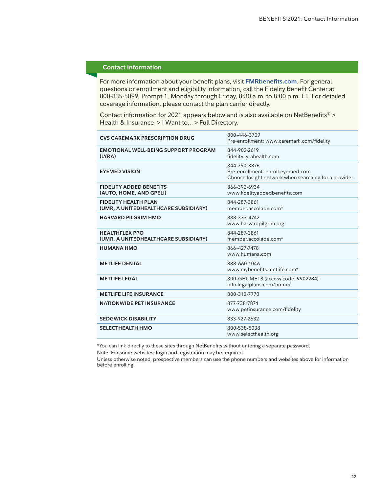#### **Contact Information**

For more information about your benefit plans, visit **[FMRbenefits.com](http://fmrbenefits.com/annualenrollment)**. For general questions or enrollment and eligibility information, call the Fidelity Benefit Center at 800-835-5099, Prompt 1, Monday through Friday, 8:30 a.m. to 8:00 p.m. ET. For detailed coverage information, please contact the plan carrier directly.

Contact information for 2021 appears below and is also available on NetBenefits® > Health & Insurance > I Want to... > Full Directory.

| <b>CVS CAREMARK PRESCRIPTION DRUG</b>                               | 800-446-3709<br>Pre-enrollment: www.caremark.com/fidelity                                                 |
|---------------------------------------------------------------------|-----------------------------------------------------------------------------------------------------------|
| <b>EMOTIONAL WELL-BEING SUPPORT PROGRAM</b><br>(LYRA)               | 844-902-2619<br>fidelity.lyrahealth.com                                                                   |
| <b>EYEMED VISION</b>                                                | 844-790-3876<br>Pre-enrollment: enroll.eyemed.com<br>Choose Insight network when searching for a provider |
| <b>FIDELITY ADDED BENEFITS</b><br>(AUTO, HOME, AND GPELI)           | 866-392-6934<br>www.fidelityaddedbenefits.com                                                             |
| <b>FIDELITY HEALTH PLAN</b><br>(UMR, A UNITEDHEALTHCARE SUBSIDIARY) | 844-287-3861<br>member.accolade.com*                                                                      |
| <b>HARVARD PILGRIM HMO</b>                                          | 888-333-4742<br>www.harvardpilgrim.org                                                                    |
| <b>HEALTHFLEX PPO</b><br>(UMR, A UNITEDHEALTHCARE SUBSIDIARY)       | 844-287-3861<br>member.accolade.com*                                                                      |
| <b>HUMANA HMO</b>                                                   | 866-427-7478<br>www.humana.com                                                                            |
| <b>METLIFE DENTAL</b>                                               | 888-660-1046<br>www.mybenefits.metlife.com*                                                               |
| <b>METLIFE LEGAL</b>                                                | 800-GET-MET8 (access code: 9902284)<br>info.legalplans.com/home/                                          |
| <b>METLIFE LIFE INSURANCE</b>                                       | 800-310-7770                                                                                              |
| <b>NATIONWIDE PET INSURANCE</b>                                     | 877-738-7874<br>www.petinsurance.com/fidelity                                                             |
| <b>SEDGWICK DISABILITY</b>                                          | 833-927-2632                                                                                              |
| <b>SELECTHEALTH HMO</b>                                             | 800-538-5038<br>www.selecthealth.org                                                                      |

\*You can link directly to these sites through NetBenefits without entering a separate password.

Note: For some websites, login and registration may be required.

Unless otherwise noted, prospective members can use the phone numbers and websites above for information before enrolling.